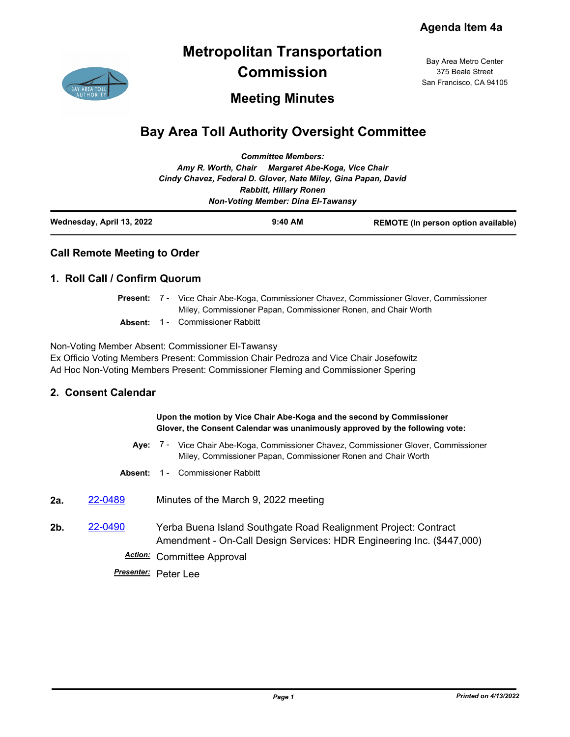## **Metropolitan Transportation Commission**

Bay Area Metro Center 375 Beale Street San Francisco, CA 94105

### **Meeting Minutes**

# **Bay Area Toll Authority Oversight Committee**

| Wednesday, April 13, 2022 |                                                                | $9:40$ AM                                 | <b>REMOTE</b> (In person option available) |
|---------------------------|----------------------------------------------------------------|-------------------------------------------|--------------------------------------------|
|                           |                                                                | <b>Non-Voting Member: Dina El-Tawansy</b> |                                            |
|                           |                                                                | <b>Rabbitt, Hillary Ronen</b>             |                                            |
|                           | Cindy Chavez, Federal D. Glover, Nate Miley, Gina Papan, David |                                           |                                            |
|                           | Amy R. Worth, Chair Margaret Abe-Koga, Vice Chair              |                                           |                                            |
|                           |                                                                | <b>Committee Members:</b>                 |                                            |

### **Call Remote Meeting to Order**

#### **1. Roll Call / Confirm Quorum**

- Present: 7 Vice Chair Abe-Koga, Commissioner Chavez, Commissioner Glover, Commissioner Miley, Commissioner Papan, Commissioner Ronen, and Chair Worth
- **Absent:** 1 Commissioner Rabbitt

Non-Voting Member Absent: Commissioner El-Tawansy Ex Officio Voting Members Present: Commission Chair Pedroza and Vice Chair Josefowitz Ad Hoc Non-Voting Members Present: Commissioner Fleming and Commissioner Spering

#### **2. Consent Calendar**

#### **Upon the motion by Vice Chair Abe-Koga and the second by Commissioner Glover, the Consent Calendar was unanimously approved by the following vote:**

- Aye: 7 Vice Chair Abe-Koga, Commissioner Chavez, Commissioner Glover, Commissioner Miley, Commissioner Papan, Commissioner Ronen and Chair Worth
- **Absent:** 1 Commissioner Rabbitt
- **2a.** [22-0489](http://mtc.legistar.com/gateway.aspx?m=l&id=/matter.aspx?key=23748) Minutes of the March 9, 2022 meeting
- **2b.** [22-0490](http://mtc.legistar.com/gateway.aspx?m=l&id=/matter.aspx?key=23749) Yerba Buena Island Southgate Road Realignment Project: Contract Amendment - On-Call Design Services: HDR Engineering Inc. (\$447,000) *Action:* Committee Approval
	- *Presenter:* Peter Lee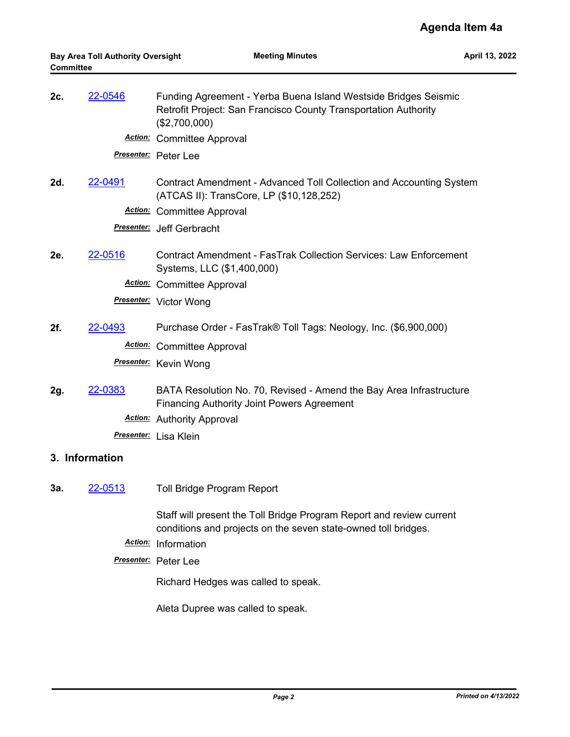| 2c.            | <u>22-0546</u> | Funding Agreement - Yerba Buena Island Westside Bridges Seismic<br>Retrofit Project: San Francisco County Transportation Authority<br>(\$2,700,000) |
|----------------|----------------|-----------------------------------------------------------------------------------------------------------------------------------------------------|
|                |                | <b>Action:</b> Committee Approval                                                                                                                   |
|                |                | Presenter: Peter Lee                                                                                                                                |
| 2d.            | 22-0491        | Contract Amendment - Advanced Toll Collection and Accounting System<br>(ATCAS II): TransCore, LP (\$10,128,252)                                     |
|                |                | <b>Action:</b> Committee Approval                                                                                                                   |
|                |                | <b>Presenter:</b> Jeff Gerbracht                                                                                                                    |
| 2e.            | 22-0516        | Contract Amendment - FasTrak Collection Services: Law Enforcement<br>Systems, LLC (\$1,400,000)                                                     |
|                |                | <b>Action:</b> Committee Approval                                                                                                                   |
|                |                | <b>Presenter:</b> Victor Wong                                                                                                                       |
| 2f.            | 22-0493        | Purchase Order - FasTrak® Toll Tags: Neology, Inc. (\$6,900,000)                                                                                    |
|                |                | <b>Action:</b> Committee Approval                                                                                                                   |
|                |                | Presenter: Kevin Wong                                                                                                                               |
| 2g.            | 22-0383        | BATA Resolution No. 70, Revised - Amend the Bay Area Infrastructure<br><b>Financing Authority Joint Powers Agreement</b>                            |
|                |                | <b>Action:</b> Authority Approval                                                                                                                   |
|                |                | Presenter: Lisa Klein                                                                                                                               |
| 3. Information |                |                                                                                                                                                     |
| За.            | 22-0513        | <b>Toll Bridge Program Report</b>                                                                                                                   |
|                |                | Staff will present the Toll Bridge Program Report and review current<br>conditions and projects on the seven state-owned toll bridges.              |
|                |                | Action: Information                                                                                                                                 |
|                |                | Presenter: Peter Lee                                                                                                                                |

Richard Hedges was called to speak.

Aleta Dupree was called to speak.